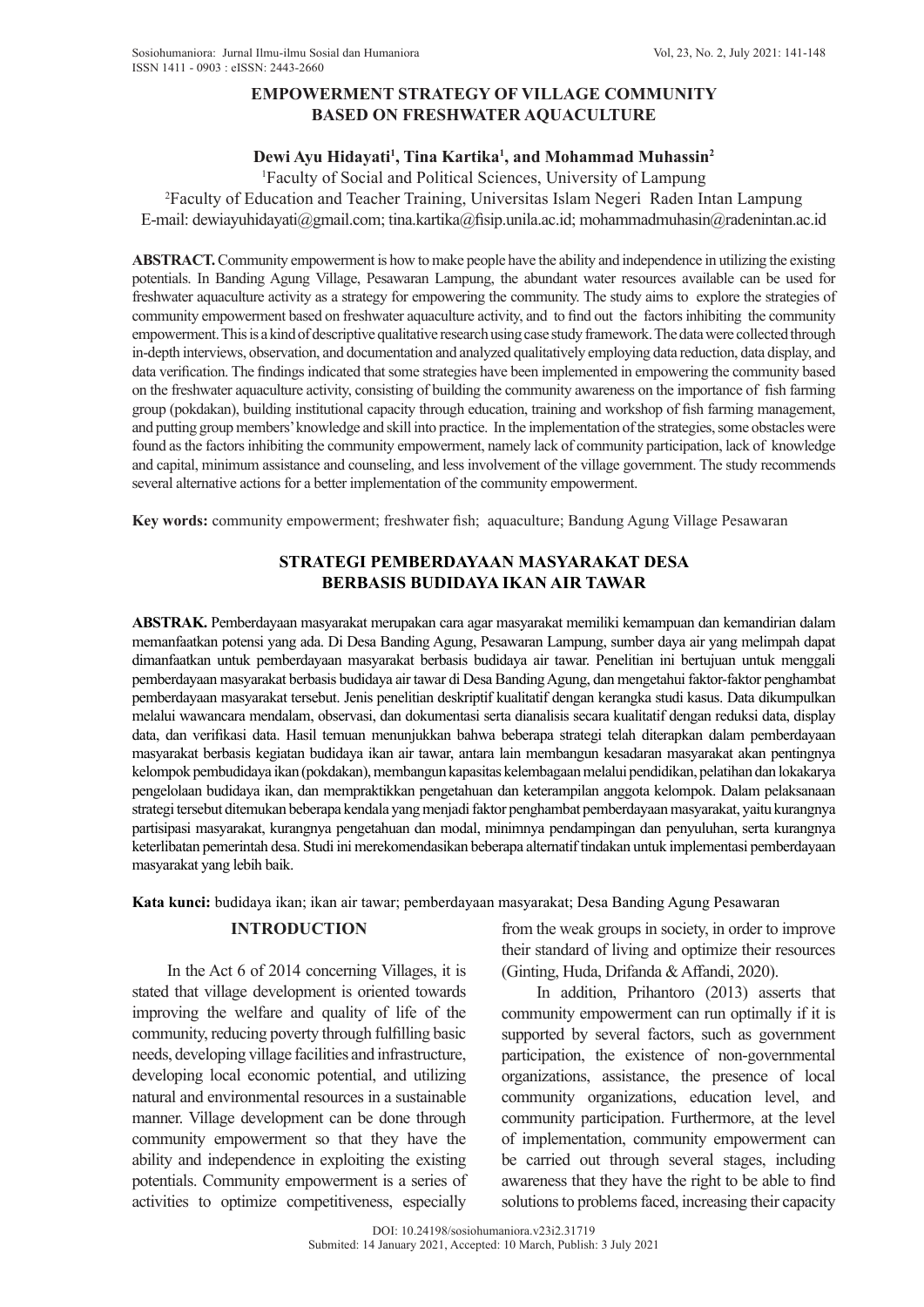# **EMPOWERMENT STRATEGY OF VILLAGE COMMUNITY BASED ON FRESHWATER AQUACULTURE**

# Dewi Ayu Hidayati<sup>1</sup>, Tina Kartika<sup>1</sup>, and Mohammad Muhassin<sup>2</sup>

1 Faculty of Social and Political Sciences, University of Lampung 2 Faculty of Education and Teacher Training, Universitas Islam Negeri Raden Intan Lampung

E-mail: dewiayuhidayati@gmail.com; tina.kartika@fisip.unila.ac.id; mohammadmuhasin@radenintan.ac.id

**ABSTRACT.** Community empowerment is how to make people have the ability and independence in utilizing the existing potentials. In Banding Agung Village, Pesawaran Lampung, the abundant water resources available can be used for freshwater aquaculture activity as a strategy for empowering the community. The study aims to explore the strategies of community empowerment based on freshwater aquaculture activity, and to find out the factors inhibiting the community empowerment. This is a kind of descriptive qualitative research using case study framework. The data were collected through in-depth interviews, observation, and documentation and analyzed qualitatively employing data reduction, data display, and data verification. The findings indicated that some strategies have been implemented in empowering the community based on the freshwater aquaculture activity, consisting of building the community awareness on the importance of fish farming group (pokdakan), building institutional capacity through education, training and workshop of fish farming management, and putting group members' knowledge and skill into practice. In the implementation of the strategies, some obstacles were found as the factors inhibiting the community empowerment, namely lack of community participation, lack of knowledge and capital, minimum assistance and counseling, and less involvement of the village government. The study recommends several alternative actions for a better implementation of the community empowerment.

**Key words:** community empowerment; freshwater fish; aquaculture; Bandung Agung Village Pesawaran

# **STRATEGI PEMBERDAYAAN MASYARAKAT DESA BERBASIS BUDIDAYA IKAN AIR TAWAR**

**ABSTRAK.** Pemberdayaan masyarakat merupakan cara agar masyarakat memiliki kemampuan dan kemandirian dalam memanfaatkan potensi yang ada. Di Desa Banding Agung, Pesawaran Lampung, sumber daya air yang melimpah dapat dimanfaatkan untuk pemberdayaan masyarakat berbasis budidaya air tawar. Penelitian ini bertujuan untuk menggali pemberdayaan masyarakat berbasis budidaya air tawar di Desa Banding Agung, dan mengetahui faktor-faktor penghambat pemberdayaan masyarakat tersebut. Jenis penelitian deskriptif kualitatif dengan kerangka studi kasus. Data dikumpulkan melalui wawancara mendalam, observasi, dan dokumentasi serta dianalisis secara kualitatif dengan reduksi data, display data, dan verifikasi data. Hasil temuan menunjukkan bahwa beberapa strategi telah diterapkan dalam pemberdayaan masyarakat berbasis kegiatan budidaya ikan air tawar, antara lain membangun kesadaran masyarakat akan pentingnya kelompok pembudidaya ikan (pokdakan), membangun kapasitas kelembagaan melalui pendidikan, pelatihan dan lokakarya pengelolaan budidaya ikan, dan mempraktikkan pengetahuan dan keterampilan anggota kelompok. Dalam pelaksanaan strategi tersebut ditemukan beberapa kendala yang menjadi faktor penghambat pemberdayaan masyarakat, yaitu kurangnya partisipasi masyarakat, kurangnya pengetahuan dan modal, minimnya pendampingan dan penyuluhan, serta kurangnya keterlibatan pemerintah desa. Studi ini merekomendasikan beberapa alternatif tindakan untuk implementasi pemberdayaan masyarakat yang lebih baik.

**Kata kunci:** budidaya ikan; ikan air tawar; pemberdayaan masyarakat; Desa Banding Agung Pesawaran

## **INTRODUCTION**

In the Act 6 of 2014 concerning Villages, it is stated that village development is oriented towards improving the welfare and quality of life of the community, reducing poverty through fulfilling basic needs, developing village facilities and infrastructure, developing local economic potential, and utilizing natural and environmental resources in a sustainable manner. Village development can be done through community empowerment so that they have the ability and independence in exploiting the existing potentials. Community empowerment is a series of activities to optimize competitiveness, especially

from the weak groups in society, in order to improve their standard of living and optimize their resources (Ginting, Huda, Drifanda & Affandi, 2020).

In addition, Prihantoro (2013) asserts that community empowerment can run optimally if it is supported by several factors, such as government participation, the existence of non-governmental organizations, assistance, the presence of local community organizations, education level, and community participation. Furthermore, at the level of implementation, community empowerment can be carried out through several stages, including awareness that they have the right to be able to find solutions to problems faced, increasing their capacity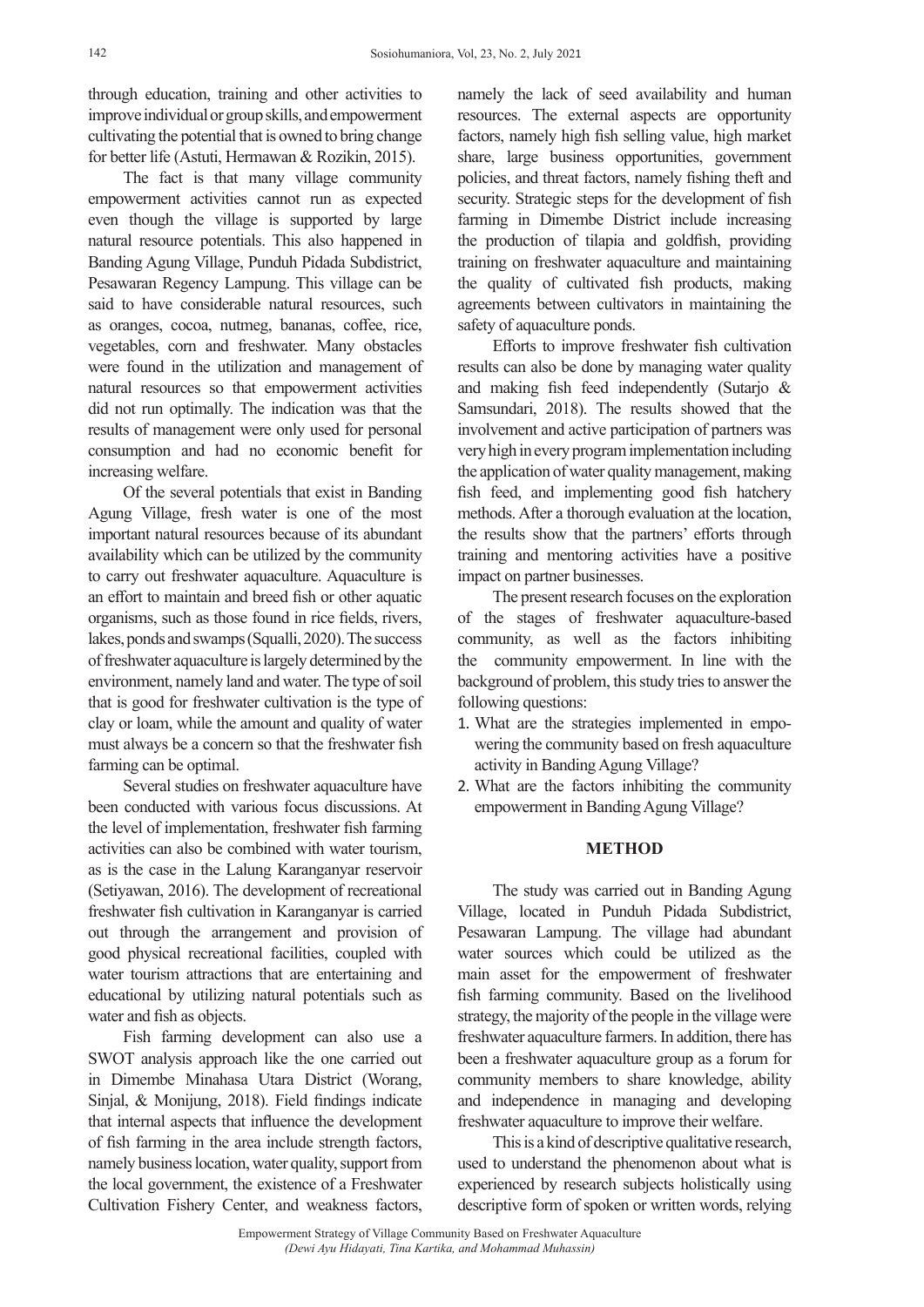through education, training and other activities to improve individual or group skills, and empowerment cultivating the potential that is owned to bring change for better life (Astuti, Hermawan & Rozikin, 2015).

The fact is that many village community empowerment activities cannot run as expected even though the village is supported by large natural resource potentials. This also happened in Banding Agung Village, Punduh Pidada Subdistrict, Pesawaran Regency Lampung. This village can be said to have considerable natural resources, such as oranges, cocoa, nutmeg, bananas, coffee, rice, vegetables, corn and freshwater. Many obstacles were found in the utilization and management of natural resources so that empowerment activities did not run optimally. The indication was that the results of management were only used for personal consumption and had no economic benefit for increasing welfare.

Of the several potentials that exist in Banding Agung Village, fresh water is one of the most important natural resources because of its abundant availability which can be utilized by the community to carry out freshwater aquaculture. Aquaculture is an effort to maintain and breed fish or other aquatic organisms, such as those found in rice fields, rivers, lakes, ponds and swamps (Squalli, 2020). The success of freshwater aquaculture is largely determined by the environment, namely land and water. The type of soil that is good for freshwater cultivation is the type of clay or loam, while the amount and quality of water must always be a concern so that the freshwater fish farming can be optimal.

Several studies on freshwater aquaculture have been conducted with various focus discussions. At the level of implementation, freshwater fish farming activities can also be combined with water tourism, as is the case in the Lalung Karanganyar reservoir (Setiyawan, 2016). The development of recreational freshwater fish cultivation in Karanganyar is carried out through the arrangement and provision of good physical recreational facilities, coupled with water tourism attractions that are entertaining and educational by utilizing natural potentials such as water and fish as objects.

Fish farming development can also use a SWOT analysis approach like the one carried out in Dimembe Minahasa Utara District (Worang, Sinjal, & Monijung, 2018). Field findings indicate that internal aspects that influence the development of fish farming in the area include strength factors, namely business location, water quality, support from the local government, the existence of a Freshwater Cultivation Fishery Center, and weakness factors, namely the lack of seed availability and human resources. The external aspects are opportunity factors, namely high fish selling value, high market share, large business opportunities, government policies, and threat factors, namely fishing theft and security. Strategic steps for the development of fish farming in Dimembe District include increasing the production of tilapia and goldfish, providing training on freshwater aquaculture and maintaining the quality of cultivated fish products, making agreements between cultivators in maintaining the safety of aquaculture ponds.

Efforts to improve freshwater fish cultivation results can also be done by managing water quality and making fish feed independently (Sutarjo & Samsundari, 2018). The results showed that the involvement and active participation of partners was very high in every program implementation including the application of water quality management, making fish feed, and implementing good fish hatchery methods. After a thorough evaluation at the location, the results show that the partners' efforts through training and mentoring activities have a positive impact on partner businesses.

The present research focuses on the exploration of the stages of freshwater aquaculture-based community, as well as the factors inhibiting the community empowerment. In line with the background of problem, this study tries to answer the following questions:

- 1. What are the strategies implemented in empowering the community based on fresh aquaculture activity in Banding Agung Village?
- 2. What are the factors inhibiting the community empowerment in Banding Agung Village?

#### **METHOD**

The study was carried out in Banding Agung Village, located in Punduh Pidada Subdistrict, Pesawaran Lampung. The village had abundant water sources which could be utilized as the main asset for the empowerment of freshwater fish farming community. Based on the livelihood strategy, the majority of the people in the village were freshwater aquaculture farmers. In addition, there has been a freshwater aquaculture group as a forum for community members to share knowledge, ability and independence in managing and developing freshwater aquaculture to improve their welfare.

This is a kind of descriptive qualitative research, used to understand the phenomenon about what is experienced by research subjects holistically using descriptive form of spoken or written words, relying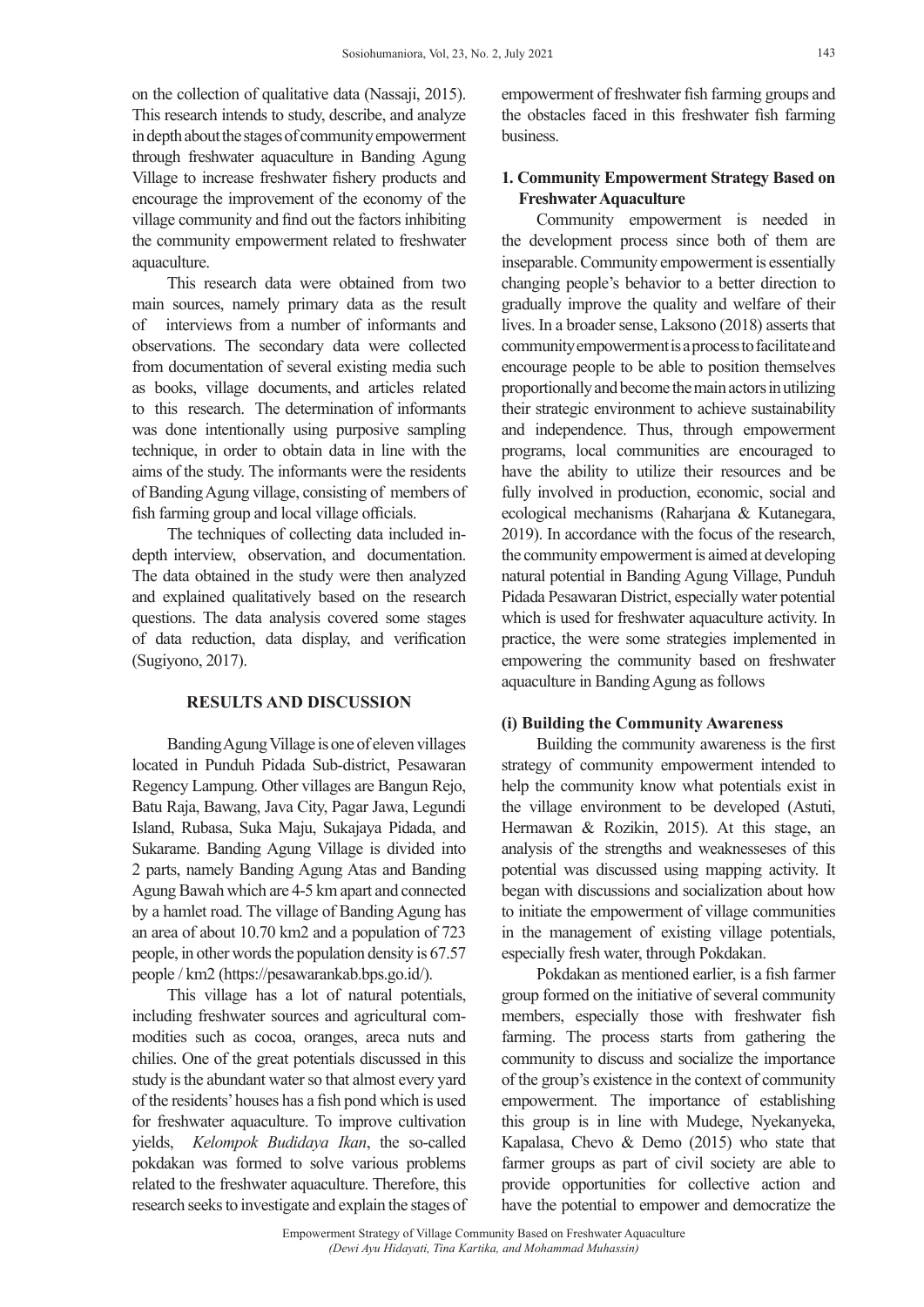on the collection of qualitative data (Nassaji, 2015). This research intends to study, describe, and analyze in depth about the stages of community empowerment through freshwater aquaculture in Banding Agung Village to increase freshwater fishery products and encourage the improvement of the economy of the village community and find out the factors inhibiting the community empowerment related to freshwater aquaculture.

This research data were obtained from two main sources, namely primary data as the result of interviews from a number of informants and observations. The secondary data were collected from documentation of several existing media such as books, village documents, and articles related to this research. The determination of informants was done intentionally using purposive sampling technique, in order to obtain data in line with the aims of the study. The informants were the residents of Banding Agung village, consisting of members of fish farming group and local village officials.

The techniques of collecting data included indepth interview, observation, and documentation. The data obtained in the study were then analyzed and explained qualitatively based on the research questions. The data analysis covered some stages of data reduction, data display, and verification (Sugiyono, 2017).

#### **RESULTS AND DISCUSSION**

Banding Agung Village is one of eleven villages located in Punduh Pidada Sub-district, Pesawaran Regency Lampung. Other villages are Bangun Rejo, Batu Raja, Bawang, Java City, Pagar Jawa, Legundi Island, Rubasa, Suka Maju, Sukajaya Pidada, and Sukarame. Banding Agung Village is divided into 2 parts, namely Banding Agung Atas and Banding Agung Bawah which are 4-5 km apart and connected by a hamlet road. The village of Banding Agung has an area of about 10.70 km2 and a population of 723 people, in other words the population density is 67.57 people / km2 (https://pesawarankab.bps.go.id/).

This village has a lot of natural potentials, including freshwater sources and agricultural commodities such as cocoa, oranges, areca nuts and chilies. One of the great potentials discussed in this study is the abundant water so that almost every yard of the residents' houses has a fish pond which is used for freshwater aquaculture. To improve cultivation yields, *Kelompok Budidaya Ikan*, the so-called pokdakan was formed to solve various problems related to the freshwater aquaculture. Therefore, this research seeks to investigate and explain the stages of empowerment of freshwater fish farming groups and the obstacles faced in this freshwater fish farming business.

## **1. Community Empowerment Strategy Based on Freshwater Aquaculture**

Community empowerment is needed in the development process since both of them are inseparable. Community empowerment is essentially changing people's behavior to a better direction to gradually improve the quality and welfare of their lives. In a broader sense, Laksono (2018) asserts that community empowerment is a process to facilitate and encourage people to be able to position themselves proportionally and become the main actors in utilizing their strategic environment to achieve sustainability and independence. Thus, through empowerment programs, local communities are encouraged to have the ability to utilize their resources and be fully involved in production, economic, social and ecological mechanisms (Raharjana & Kutanegara, 2019). In accordance with the focus of the research, the community empowerment is aimed at developing natural potential in Banding Agung Village, Punduh Pidada Pesawaran District, especially water potential which is used for freshwater aquaculture activity. In practice, the were some strategies implemented in empowering the community based on freshwater aquaculture in Banding Agung as follows

#### **(i) Building the Community Awareness**

Building the community awareness is the first strategy of community empowerment intended to help the community know what potentials exist in the village environment to be developed (Astuti, Hermawan & Rozikin, 2015). At this stage, an analysis of the strengths and weaknesseses of this potential was discussed using mapping activity. It began with discussions and socialization about how to initiate the empowerment of village communities in the management of existing village potentials, especially fresh water, through Pokdakan.

Pokdakan as mentioned earlier, is a fish farmer group formed on the initiative of several community members, especially those with freshwater fish farming. The process starts from gathering the community to discuss and socialize the importance of the group's existence in the context of community empowerment. The importance of establishing this group is in line with Mudege, Nyekanyeka, Kapalasa, Chevo & Demo (2015) who state that farmer groups as part of civil society are able to provide opportunities for collective action and have the potential to empower and democratize the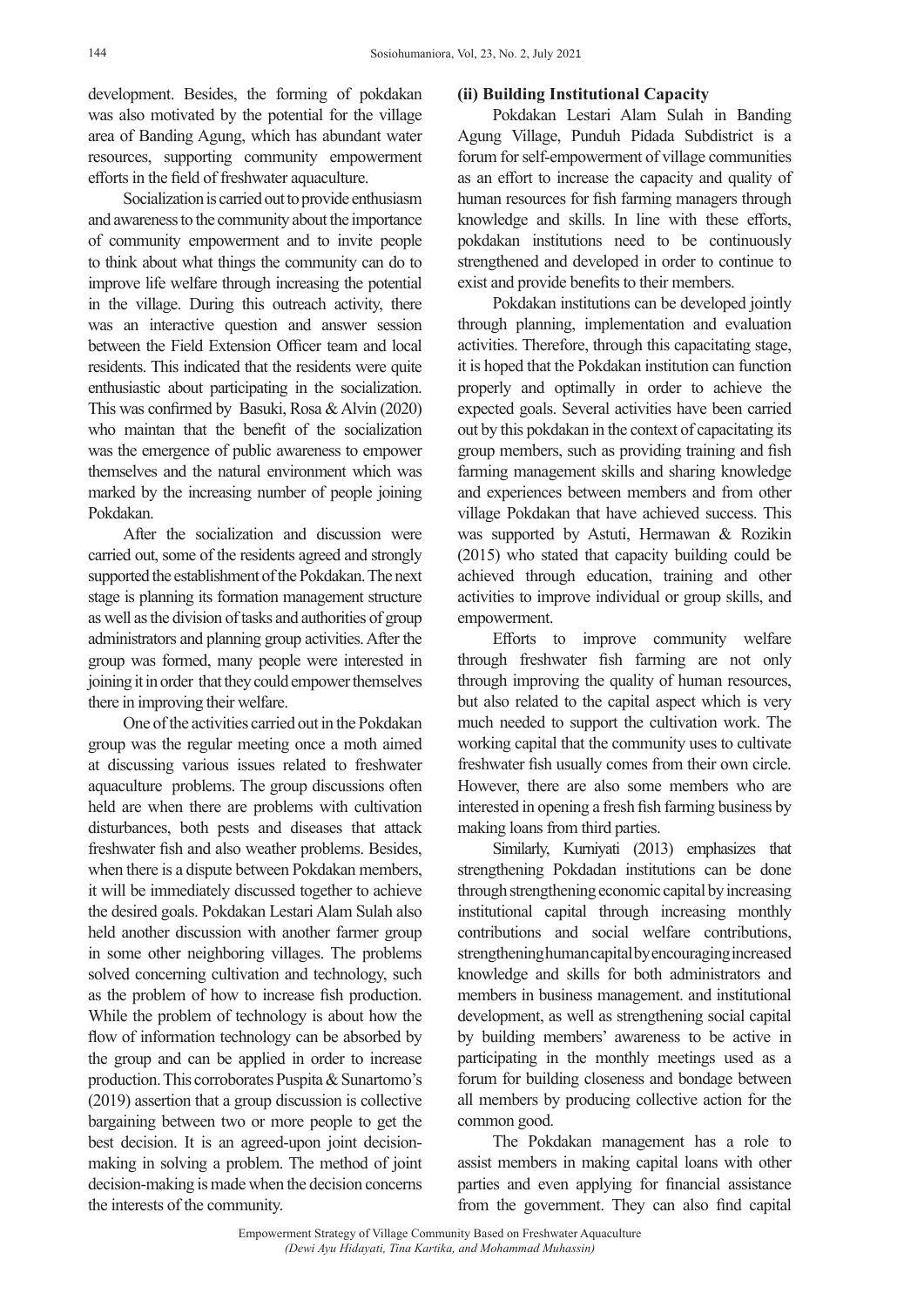development. Besides, the forming of pokdakan was also motivated by the potential for the village area of Banding Agung, which has abundant water resources, supporting community empowerment efforts in the field of freshwater aquaculture.

Socialization is carried out to provide enthusiasm and awareness to the community about the importance of community empowerment and to invite people to think about what things the community can do to improve life welfare through increasing the potential in the village. During this outreach activity, there was an interactive question and answer session between the Field Extension Officer team and local residents. This indicated that the residents were quite enthusiastic about participating in the socialization. This was confirmed by Basuki, Rosa & Alvin (2020) who maintan that the benefit of the socialization was the emergence of public awareness to empower themselves and the natural environment which was marked by the increasing number of people joining Pokdakan.

After the socialization and discussion were carried out, some of the residents agreed and strongly supported the establishment of the Pokdakan. The next stage is planning its formation management structure as well as the division of tasks and authorities of group administrators and planning group activities. After the group was formed, many people were interested in joining it in order that they could empower themselves there in improving their welfare.

One of the activities carried out in the Pokdakan group was the regular meeting once a moth aimed at discussing various issues related to freshwater aquaculture problems. The group discussions often held are when there are problems with cultivation disturbances, both pests and diseases that attack freshwater fish and also weather problems. Besides, when there is a dispute between Pokdakan members, it will be immediately discussed together to achieve the desired goals. Pokdakan Lestari Alam Sulah also held another discussion with another farmer group in some other neighboring villages. The problems solved concerning cultivation and technology, such as the problem of how to increase fish production. While the problem of technology is about how the flow of information technology can be absorbed by the group and can be applied in order to increase production. This corroborates Puspita & Sunartomo's (2019) assertion that a group discussion is collective bargaining between two or more people to get the best decision. It is an agreed-upon joint decisionmaking in solving a problem. The method of joint decision-making is made when the decision concerns the interests of the community.

### **(ii) Building Institutional Capacity**

Pokdakan Lestari Alam Sulah in Banding Agung Village, Punduh Pidada Subdistrict is a forum for self-empowerment of village communities as an effort to increase the capacity and quality of human resources for fish farming managers through knowledge and skills. In line with these efforts, pokdakan institutions need to be continuously strengthened and developed in order to continue to exist and provide benefits to their members.

Pokdakan institutions can be developed jointly through planning, implementation and evaluation activities. Therefore, through this capacitating stage, it is hoped that the Pokdakan institution can function properly and optimally in order to achieve the expected goals. Several activities have been carried out by this pokdakan in the context of capacitating its group members, such as providing training and fish farming management skills and sharing knowledge and experiences between members and from other village Pokdakan that have achieved success. This was supported by Astuti, Hermawan & Rozikin (2015) who stated that capacity building could be achieved through education, training and other activities to improve individual or group skills, and empowerment.

Efforts to improve community welfare through freshwater fish farming are not only through improving the quality of human resources, but also related to the capital aspect which is very much needed to support the cultivation work. The working capital that the community uses to cultivate freshwater fish usually comes from their own circle. However, there are also some members who are interested in opening a fresh fish farming business by making loans from third parties.

Similarly, Kurniyati (2013) emphasizes that strengthening Pokdadan institutions can be done through strengthening economic capital by increasing institutional capital through increasing monthly contributions and social welfare contributions, strengthening human capital by encouraging increased knowledge and skills for both administrators and members in business management. and institutional development, as well as strengthening social capital by building members' awareness to be active in participating in the monthly meetings used as a forum for building closeness and bondage between all members by producing collective action for the common good.

The Pokdakan management has a role to assist members in making capital loans with other parties and even applying for financial assistance from the government. They can also find capital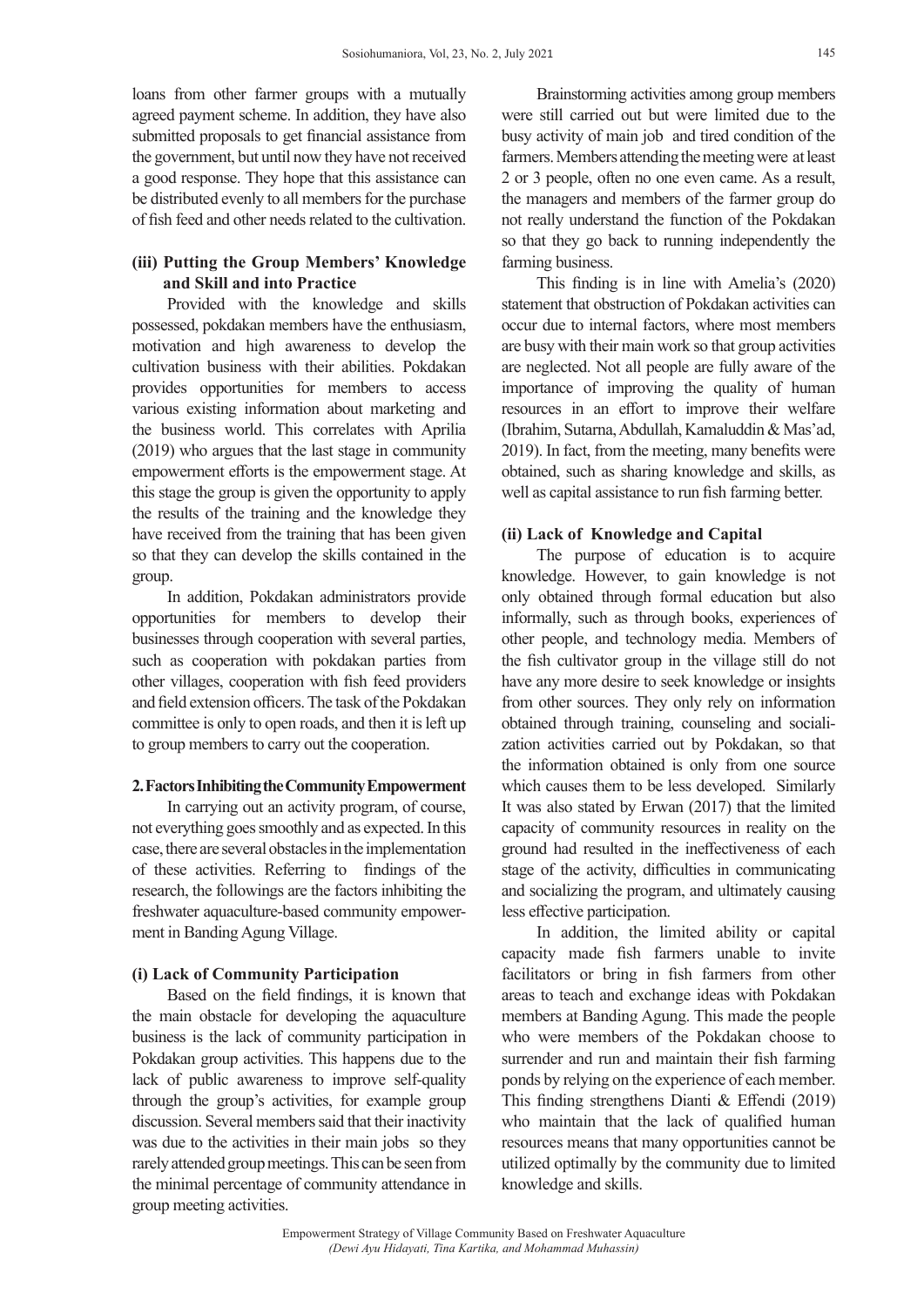loans from other farmer groups with a mutually agreed payment scheme. In addition, they have also submitted proposals to get financial assistance from the government, but until now they have not received a good response. They hope that this assistance can be distributed evenly to all members for the purchase of fish feed and other needs related to the cultivation.

# **(iii) Putting the Group Members' Knowledge and Skill and into Practice**

Provided with the knowledge and skills possessed, pokdakan members have the enthusiasm, motivation and high awareness to develop the cultivation business with their abilities. Pokdakan provides opportunities for members to access various existing information about marketing and the business world. This correlates with Aprilia (2019) who argues that the last stage in community empowerment efforts is the empowerment stage. At this stage the group is given the opportunity to apply the results of the training and the knowledge they have received from the training that has been given so that they can develop the skills contained in the group.

In addition, Pokdakan administrators provide opportunities for members to develop their businesses through cooperation with several parties, such as cooperation with pokdakan parties from other villages, cooperation with fish feed providers and field extension officers. The task of the Pokdakan committee is only to open roads, and then it is left up to group members to carry out the cooperation.

### **2. Factors Inhibiting the Community Empowerment**

In carrying out an activity program, of course, not everything goes smoothly and as expected. In this case, there are several obstacles in the implementation of these activities. Referring to findings of the research, the followings are the factors inhibiting the freshwater aquaculture-based community empowerment in Banding Agung Village.

## **(i) Lack of Community Participation**

Based on the field findings, it is known that the main obstacle for developing the aquaculture business is the lack of community participation in Pokdakan group activities. This happens due to the lack of public awareness to improve self-quality through the group's activities, for example group discussion. Several members said that their inactivity was due to the activities in their main jobs so they rarely attended group meetings. This can be seen from the minimal percentage of community attendance in group meeting activities.

Brainstorming activities among group members were still carried out but were limited due to the busy activity of main job and tired condition of the farmers. Members attending the meeting were at least 2 or 3 people, often no one even came. As a result, the managers and members of the farmer group do not really understand the function of the Pokdakan so that they go back to running independently the farming business.

This finding is in line with Amelia's (2020) statement that obstruction of Pokdakan activities can occur due to internal factors, where most members are busy with their main work so that group activities are neglected. Not all people are fully aware of the importance of improving the quality of human resources in an effort to improve their welfare (Ibrahim, Sutarna, Abdullah, Kamaluddin & Mas'ad, 2019). In fact, from the meeting, many benefits were obtained, such as sharing knowledge and skills, as well as capital assistance to run fish farming better.

#### **(ii) Lack of Knowledge and Capital**

The purpose of education is to acquire knowledge. However, to gain knowledge is not only obtained through formal education but also informally, such as through books, experiences of other people, and technology media. Members of the fish cultivator group in the village still do not have any more desire to seek knowledge or insights from other sources. They only rely on information obtained through training, counseling and socialization activities carried out by Pokdakan, so that the information obtained is only from one source which causes them to be less developed. Similarly It was also stated by Erwan (2017) that the limited capacity of community resources in reality on the ground had resulted in the ineffectiveness of each stage of the activity, difficulties in communicating and socializing the program, and ultimately causing less effective participation.

In addition, the limited ability or capital capacity made fish farmers unable to invite facilitators or bring in fish farmers from other areas to teach and exchange ideas with Pokdakan members at Banding Agung. This made the people who were members of the Pokdakan choose to surrender and run and maintain their fish farming ponds by relying on the experience of each member. This finding strengthens Dianti & Effendi (2019) who maintain that the lack of qualified human resources means that many opportunities cannot be utilized optimally by the community due to limited knowledge and skills.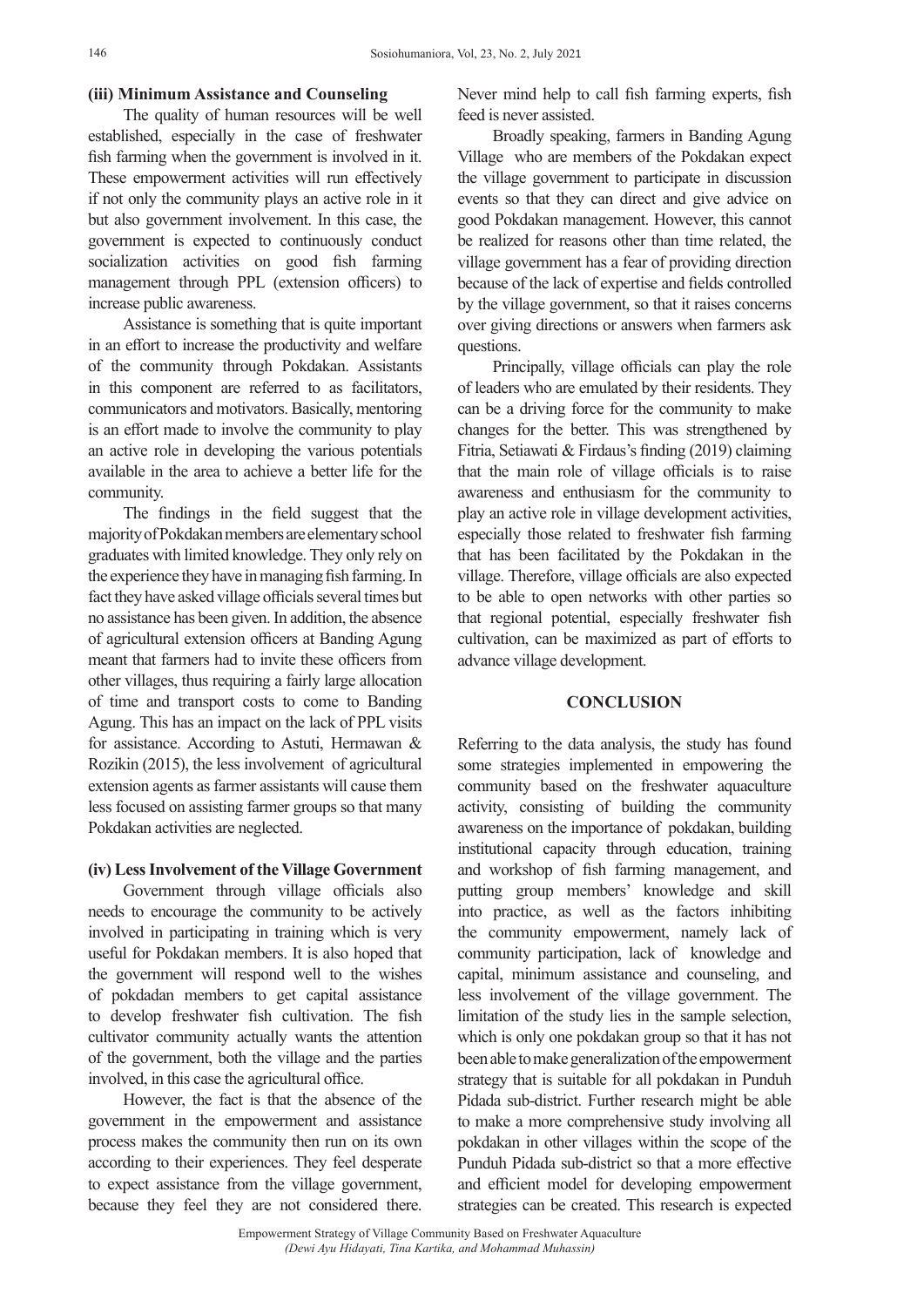## **(iii) Minimum Assistance and Counseling**

The quality of human resources will be well established, especially in the case of freshwater fish farming when the government is involved in it. These empowerment activities will run effectively if not only the community plays an active role in it but also government involvement. In this case, the government is expected to continuously conduct socialization activities on good fish farming management through PPL (extension officers) to increase public awareness.

Assistance is something that is quite important in an effort to increase the productivity and welfare of the community through Pokdakan. Assistants in this component are referred to as facilitators, communicators and motivators. Basically, mentoring is an effort made to involve the community to play an active role in developing the various potentials available in the area to achieve a better life for the community.

The findings in the field suggest that the majority of Pokdakan members are elementary school graduates with limited knowledge. They only rely on the experience they have in managing fish farming. In fact they have asked village officials several times but no assistance has been given. In addition, the absence of agricultural extension officers at Banding Agung meant that farmers had to invite these officers from other villages, thus requiring a fairly large allocation of time and transport costs to come to Banding Agung. This has an impact on the lack of PPL visits for assistance. According to Astuti, Hermawan & Rozikin (2015), the less involvement of agricultural extension agents as farmer assistants will cause them less focused on assisting farmer groups so that many Pokdakan activities are neglected.

### **(iv) Less Involvement of the Village Government**

Government through village officials also needs to encourage the community to be actively involved in participating in training which is very useful for Pokdakan members. It is also hoped that the government will respond well to the wishes of pokdadan members to get capital assistance to develop freshwater fish cultivation. The fish cultivator community actually wants the attention of the government, both the village and the parties involved, in this case the agricultural office.

However, the fact is that the absence of the government in the empowerment and assistance process makes the community then run on its own according to their experiences. They feel desperate to expect assistance from the village government, because they feel they are not considered there. Never mind help to call fish farming experts, fish feed is never assisted.

Broadly speaking, farmers in Banding Agung Village who are members of the Pokdakan expect the village government to participate in discussion events so that they can direct and give advice on good Pokdakan management. However, this cannot be realized for reasons other than time related, the village government has a fear of providing direction because of the lack of expertise and fields controlled by the village government, so that it raises concerns over giving directions or answers when farmers ask questions.

Principally, village officials can play the role of leaders who are emulated by their residents. They can be a driving force for the community to make changes for the better. This was strengthened by Fitria, Setiawati & Firdaus's finding (2019) claiming that the main role of village officials is to raise awareness and enthusiasm for the community to play an active role in village development activities, especially those related to freshwater fish farming that has been facilitated by the Pokdakan in the village. Therefore, village officials are also expected to be able to open networks with other parties so that regional potential, especially freshwater fish cultivation, can be maximized as part of efforts to advance village development.

### **CONCLUSION**

Referring to the data analysis, the study has found some strategies implemented in empowering the community based on the freshwater aquaculture activity, consisting of building the community awareness on the importance of pokdakan, building institutional capacity through education, training and workshop of fish farming management, and putting group members' knowledge and skill into practice, as well as the factors inhibiting the community empowerment, namely lack of community participation, lack of knowledge and capital, minimum assistance and counseling, and less involvement of the village government. The limitation of the study lies in the sample selection, which is only one pokdakan group so that it has not been able to make generalization of the empowerment strategy that is suitable for all pokdakan in Punduh Pidada sub-district. Further research might be able to make a more comprehensive study involving all pokdakan in other villages within the scope of the Punduh Pidada sub-district so that a more effective and efficient model for developing empowerment strategies can be created. This research is expected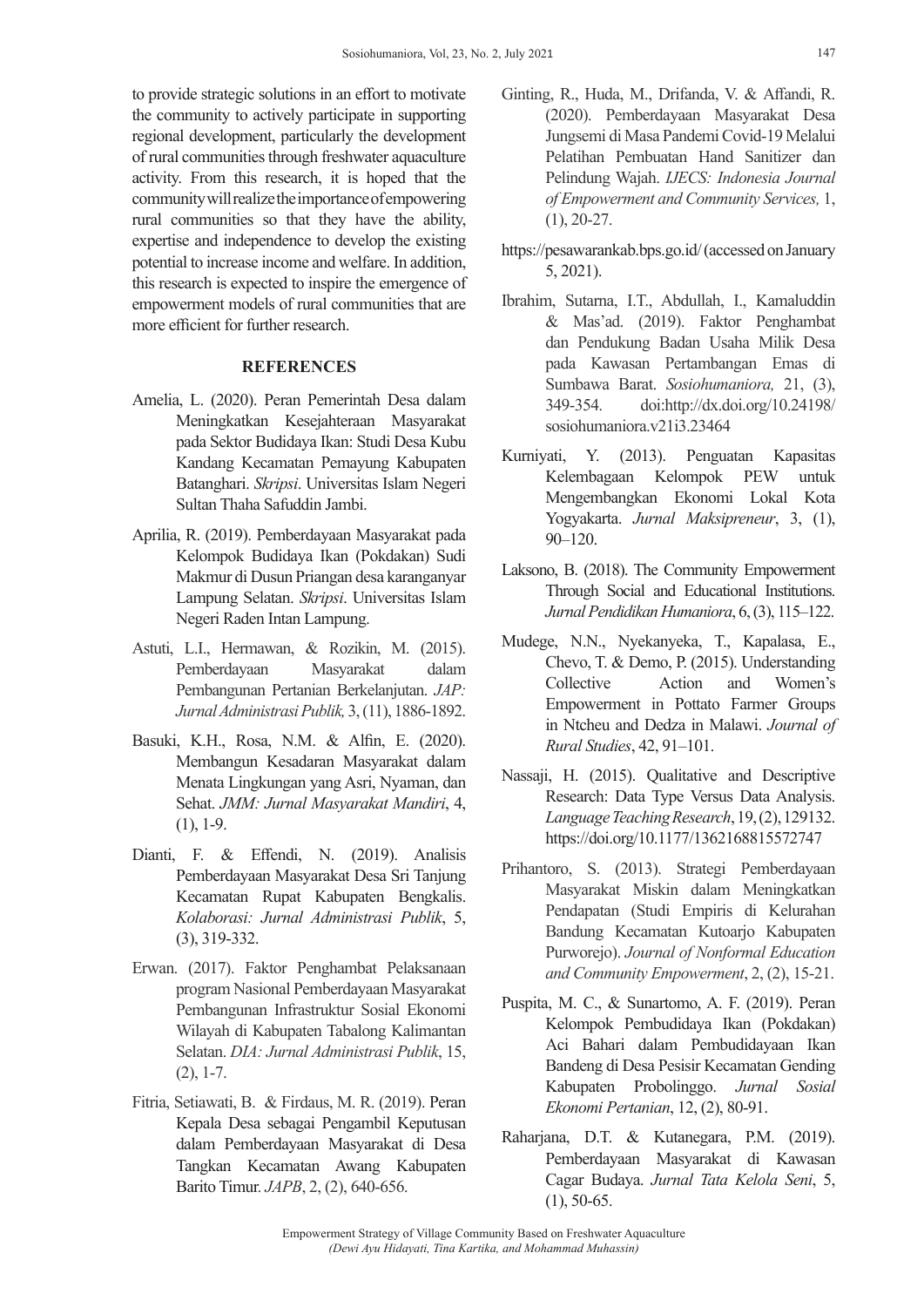to provide strategic solutions in an effort to motivate the community to actively participate in supporting regional development, particularly the development of rural communities through freshwater aquaculture activity. From this research, it is hoped that the community will realize the importance of empowering rural communities so that they have the ability, expertise and independence to develop the existing potential to increase income and welfare. In addition, this research is expected to inspire the emergence of empowerment models of rural communities that are more efficient for further research.

## **REFERENCES**

- Amelia, L. (2020). Peran Pemerintah Desa dalam Meningkatkan Kesejahteraan Masyarakat pada Sektor Budidaya Ikan: Studi Desa Kubu Kandang Kecamatan Pemayung Kabupaten Batanghari. *Skripsi*. Universitas Islam Negeri Sultan Thaha Safuddin Jambi.
- Aprilia, R. (2019). Pemberdayaan Masyarakat pada Kelompok Budidaya Ikan (Pokdakan) Sudi Makmur di Dusun Priangan desa karanganyar Lampung Selatan. *Skripsi*. Universitas Islam Negeri Raden Intan Lampung.
- Astuti, L.I., Hermawan, & Rozikin, M. (2015). Pemberdayaan Masyarakat dalam Pembangunan Pertanian Berkelanjutan. *JAP: Jurnal Administrasi Publik,* 3, (11), 1886-1892.
- Basuki, K.H., Rosa, N.M. & Alfin, E. (2020). Membangun Kesadaran Masyarakat dalam Menata Lingkungan yang Asri, Nyaman, dan Sehat. *JMM: Jurnal Masyarakat Mandiri*, 4, (1), 1-9.
- Dianti, F. & Effendi, N. (2019). Analisis Pemberdayaan Masyarakat Desa Sri Tanjung Kecamatan Rupat Kabupaten Bengkalis. *Kolaborasi: Jurnal Administrasi Publik*, 5, (3), 319-332.
- Erwan. (2017). Faktor Penghambat Pelaksanaan program Nasional Pemberdayaan Masyarakat Pembangunan Infrastruktur Sosial Ekonomi Wilayah di Kabupaten Tabalong Kalimantan Selatan. *DIA: Jurnal Administrasi Publik*, 15, (2), 1-7.
- Fitria, Setiawati, B. & Firdaus, M. R. (2019). Peran Kepala Desa sebagai Pengambil Keputusan dalam Pemberdayaan Masyarakat di Desa Tangkan Kecamatan Awang Kabupaten Barito Timur. *JAPB*, 2, (2), 640-656.
- Ginting, R., Huda, M., Drifanda, V. & Affandi, R. (2020). Pemberdayaan Masyarakat Desa Jungsemi di Masa Pandemi Covid-19 Melalui Pelatihan Pembuatan Hand Sanitizer dan Pelindung Wajah. *IJECS: Indonesia Journal of Empowerment and Community Services,* 1, (1), 20-27.
- https://pesawarankab.bps.go.id/ (accessed on January 5, 2021).
- Ibrahim, Sutarna, I.T., Abdullah, I., Kamaluddin & Mas'ad. (2019). Faktor Penghambat dan Pendukung Badan Usaha Milik Desa pada Kawasan Pertambangan Emas di Sumbawa Barat. *Sosiohumaniora,* 21, (3), 349-354. doi:http://dx.doi.org/10.24198/ sosiohumaniora.v21i3.23464
- Kurniyati, Y. (2013). Penguatan Kapasitas Kelembagaan Kelompok PEW untuk Mengembangkan Ekonomi Lokal Kota Yogyakarta. *Jurnal Maksipreneur*, 3, (1), 90–120.
- Laksono, B. (2018). The Community Empowerment Through Social and Educational Institutions. *Jurnal Pendidikan Humaniora*, 6, (3), 115–122.
- Mudege, N.N., Nyekanyeka, T., Kapalasa, E., Chevo, T. & Demo, P. (2015). Understanding Collective Action and Women's Empowerment in Pottato Farmer Groups in Ntcheu and Dedza in Malawi. *Journal of Rural Studies*, 42, 91–101.
- Nassaji, H. (2015). Qualitative and Descriptive Research: Data Type Versus Data Analysis. *Language Teaching Research*, 19, (2), 129132. https://doi.org/10.1177/1362168815572747
- Prihantoro, S. (2013). Strategi Pemberdayaan Masyarakat Miskin dalam Meningkatkan Pendapatan (Studi Empiris di Kelurahan Bandung Kecamatan Kutoarjo Kabupaten Purworejo). *Journal of Nonformal Education and Community Empowerment*, 2, (2), 15-21.
- Puspita, M. C., & Sunartomo, A. F. (2019). Peran Kelompok Pembudidaya Ikan (Pokdakan) Aci Bahari dalam Pembudidayaan Ikan Bandeng di Desa Pesisir Kecamatan Gending Kabupaten Probolinggo. *Jurnal Sosial Ekonomi Pertanian*, 12, (2), 80-91.
- Raharjana, D.T. & Kutanegara, P.M. (2019). Pemberdayaan Masyarakat di Kawasan Cagar Budaya. *Jurnal Tata Kelola Seni*, 5, (1), 50-65.